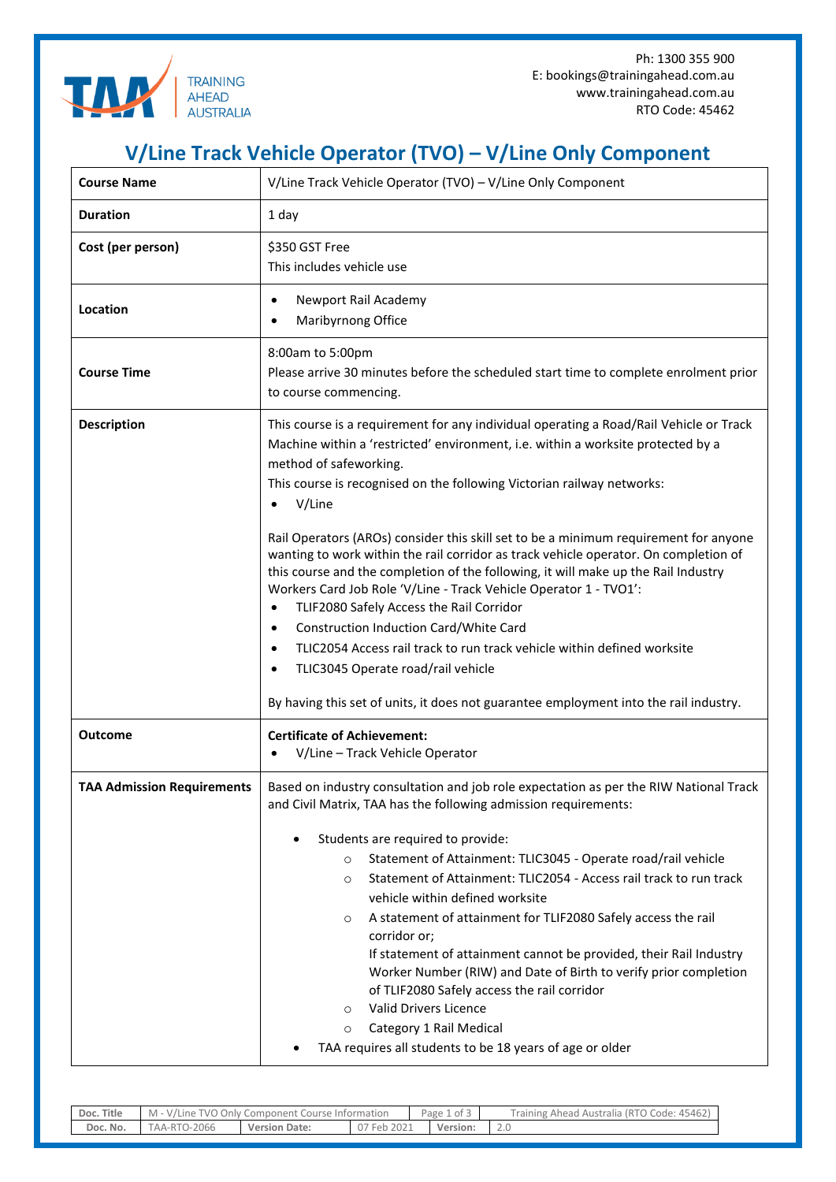

## **V/Line Track Vehicle Operator (TVO) – V/Line Only Component**

| <b>Course Name</b>                | V/Line Track Vehicle Operator (TVO) - V/Line Only Component                                                                                                                                                                                                                                                                                                                                                                                                                                                                                                                                                                                                                                                                                                                                                              |  |  |  |  |
|-----------------------------------|--------------------------------------------------------------------------------------------------------------------------------------------------------------------------------------------------------------------------------------------------------------------------------------------------------------------------------------------------------------------------------------------------------------------------------------------------------------------------------------------------------------------------------------------------------------------------------------------------------------------------------------------------------------------------------------------------------------------------------------------------------------------------------------------------------------------------|--|--|--|--|
| <b>Duration</b>                   | 1 day                                                                                                                                                                                                                                                                                                                                                                                                                                                                                                                                                                                                                                                                                                                                                                                                                    |  |  |  |  |
| Cost (per person)                 | \$350 GST Free<br>This includes vehicle use                                                                                                                                                                                                                                                                                                                                                                                                                                                                                                                                                                                                                                                                                                                                                                              |  |  |  |  |
| Location                          | Newport Rail Academy<br>$\bullet$<br>Maribyrnong Office<br>$\bullet$                                                                                                                                                                                                                                                                                                                                                                                                                                                                                                                                                                                                                                                                                                                                                     |  |  |  |  |
| <b>Course Time</b>                | 8:00am to 5:00pm<br>Please arrive 30 minutes before the scheduled start time to complete enrolment prior<br>to course commencing.                                                                                                                                                                                                                                                                                                                                                                                                                                                                                                                                                                                                                                                                                        |  |  |  |  |
| <b>Description</b>                | This course is a requirement for any individual operating a Road/Rail Vehicle or Track<br>Machine within a 'restricted' environment, i.e. within a worksite protected by a<br>method of safeworking.<br>This course is recognised on the following Victorian railway networks:<br>V/Line<br>$\bullet$                                                                                                                                                                                                                                                                                                                                                                                                                                                                                                                    |  |  |  |  |
|                                   | Rail Operators (AROs) consider this skill set to be a minimum requirement for anyone<br>wanting to work within the rail corridor as track vehicle operator. On completion of<br>this course and the completion of the following, it will make up the Rail Industry<br>Workers Card Job Role 'V/Line - Track Vehicle Operator 1 - TVO1':<br>TLIF2080 Safely Access the Rail Corridor<br>$\bullet$<br>Construction Induction Card/White Card<br>$\bullet$<br>TLIC2054 Access rail track to run track vehicle within defined worksite<br>$\bullet$<br>TLIC3045 Operate road/rail vehicle<br>$\bullet$<br>By having this set of units, it does not guarantee employment into the rail industry.                                                                                                                              |  |  |  |  |
| <b>Outcome</b>                    | <b>Certificate of Achievement:</b><br>V/Line - Track Vehicle Operator                                                                                                                                                                                                                                                                                                                                                                                                                                                                                                                                                                                                                                                                                                                                                    |  |  |  |  |
| <b>TAA Admission Requirements</b> | Based on industry consultation and job role expectation as per the RIW National Track<br>and Civil Matrix, TAA has the following admission requirements:<br>Students are required to provide:<br>Statement of Attainment: TLIC3045 - Operate road/rail vehicle<br>$\circ$<br>Statement of Attainment: TLIC2054 - Access rail track to run track<br>$\circ$<br>vehicle within defined worksite<br>A statement of attainment for TLIF2080 Safely access the rail<br>$\circ$<br>corridor or;<br>If statement of attainment cannot be provided, their Rail Industry<br>Worker Number (RIW) and Date of Birth to verify prior completion<br>of TLIF2080 Safely access the rail corridor<br>Valid Drivers Licence<br>$\circ$<br>Category 1 Rail Medical<br>$\circ$<br>TAA requires all students to be 18 years of age or older |  |  |  |  |

| Title<br>Doc. | Only Component Course Information<br>TVO.<br>M -<br>Line |                  | Page i<br>ີ of ⊳ |  | Training,<br>Code: 45462<br>(RTO<br>. Australia<br>Ahead |          |
|---------------|----------------------------------------------------------|------------------|------------------|--|----------------------------------------------------------|----------|
| Doc. No.      | 0-2066<br>AA-R                                           | Version<br>Date: | 2021<br>Feb      |  | Version:                                                 | $\sim\,$ |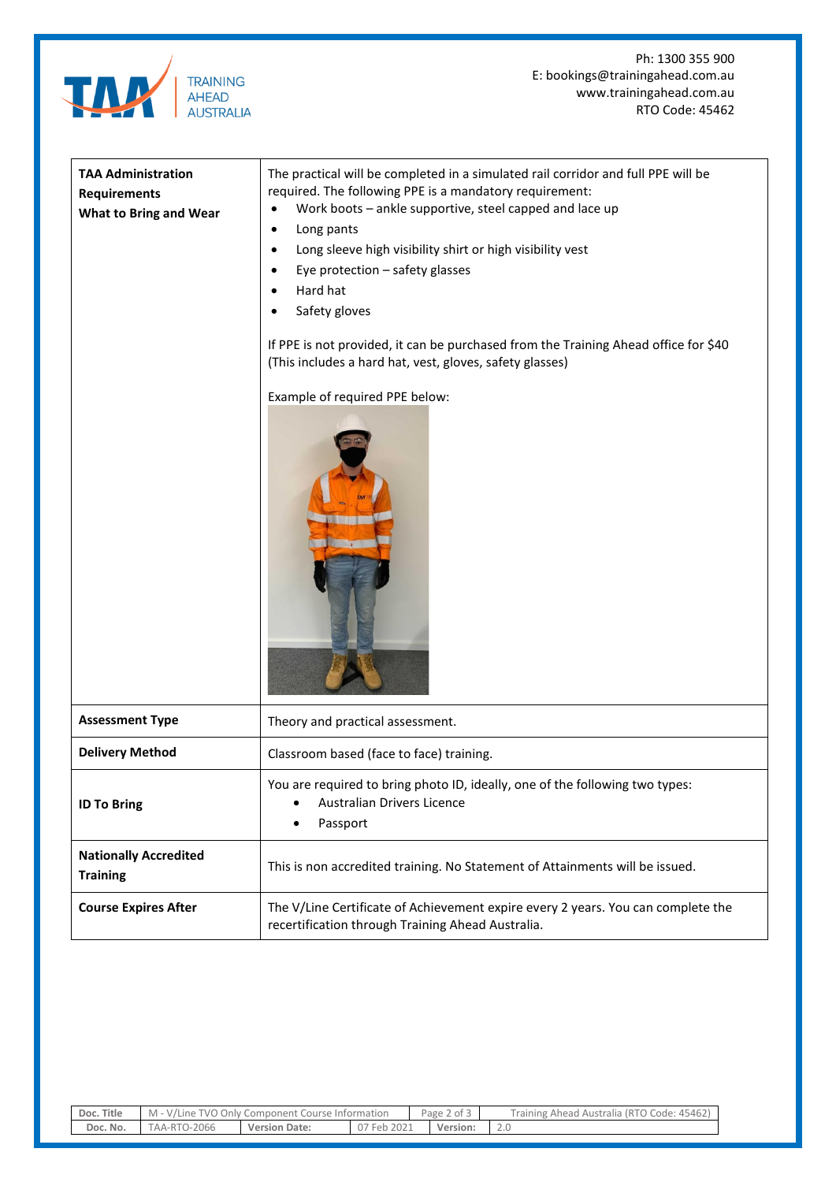

Ph: 1300 355 900 E: bookings@trainingahead.com.au www.trainingahead.com.au RTO Code: 45462

| <b>TAA Administration</b><br><b>Requirements</b><br><b>What to Bring and Wear</b> | The practical will be completed in a simulated rail corridor and full PPE will be<br>required. The following PPE is a mandatory requirement:<br>Work boots - ankle supportive, steel capped and lace up<br>Long pants<br>Long sleeve high visibility shirt or high visibility vest<br>Eye protection - safety glasses<br>Hard hat<br>Safety gloves<br>If PPE is not provided, it can be purchased from the Training Ahead office for \$40<br>(This includes a hard hat, vest, gloves, safety glasses)<br>Example of required PPE below: |  |  |  |
|-----------------------------------------------------------------------------------|-----------------------------------------------------------------------------------------------------------------------------------------------------------------------------------------------------------------------------------------------------------------------------------------------------------------------------------------------------------------------------------------------------------------------------------------------------------------------------------------------------------------------------------------|--|--|--|
| <b>Assessment Type</b>                                                            | Theory and practical assessment.                                                                                                                                                                                                                                                                                                                                                                                                                                                                                                        |  |  |  |
| <b>Delivery Method</b>                                                            | Classroom based (face to face) training.                                                                                                                                                                                                                                                                                                                                                                                                                                                                                                |  |  |  |
| <b>ID To Bring</b>                                                                | You are required to bring photo ID, ideally, one of the following two types:<br><b>Australian Drivers Licence</b><br>$\bullet$<br>Passport<br>$\bullet$                                                                                                                                                                                                                                                                                                                                                                                 |  |  |  |
| <b>Nationally Accredited</b><br><b>Training</b>                                   | This is non accredited training. No Statement of Attainments will be issued.                                                                                                                                                                                                                                                                                                                                                                                                                                                            |  |  |  |
| <b>Course Expires After</b>                                                       | The V/Line Certificate of Achievement expire every 2 years. You can complete the<br>recertification through Training Ahead Australia.                                                                                                                                                                                                                                                                                                                                                                                                   |  |  |  |

| Doc. Title | M - V/Line TVO Only Component Course Information |                      |             | Page 2 of 3 | Training Ahead Australia (RTO Code: 45462) |
|------------|--------------------------------------------------|----------------------|-------------|-------------|--------------------------------------------|
| Doc. No.   | TAA-RTO-2066                                     | <b>Version Date:</b> | 07 Feb 2021 | Version:    |                                            |